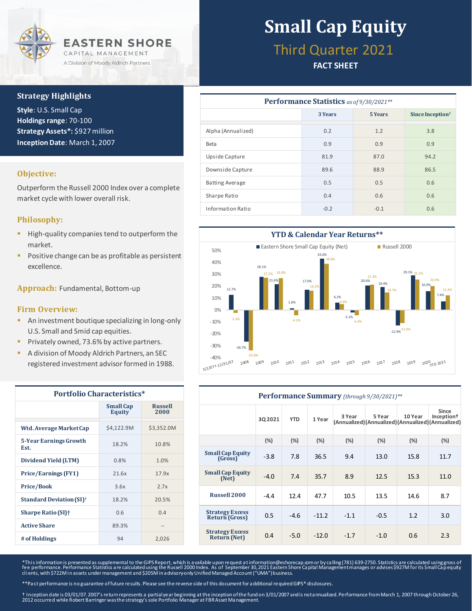

### **Strategy Highlights**

**Style**: U.S. Small Cap **Holdings range**: 70-100 **Strategy Assets\*:** \$927 million **Inception Date**: March 1, 2007

## **Objective:**

Outperform the Russell 2000 Index over a complete market cycle with lower overall risk.

## **Philosophy:**

- High-quality companies tend to outperform the market.
- Positive change can be as profitable as persistent excellence.

**Approach:** Fundamental, Bottom-up

#### **Firm Overview:**

- **E** An investment boutique specializing in long-only U.S. Small and Smid cap equities.
- Privately owned, 73.6% by active partners.
- A division of Moody Aldrich Partners, an SEC registered investment advisor formed in 1988.

| <b>Portfolio Characteristics*</b>          |                            |                        |  |  |  |
|--------------------------------------------|----------------------------|------------------------|--|--|--|
|                                            | <b>Small Cap</b><br>Equity | <b>Russell</b><br>2000 |  |  |  |
| Wtd. Average Market Cap                    | \$4,122.9M                 | \$3,352.0M             |  |  |  |
| 5-Year Earnings Growth<br>Est.             | 18.2%                      | 10.8%                  |  |  |  |
| Dividend Yield (LTM)                       | 0.8%                       | 1.0%                   |  |  |  |
| <b>Price/Earnings (FY1)</b>                | 21.6x                      | 17.9x                  |  |  |  |
| <b>Price/Book</b>                          | 3.6x                       | 2.7x                   |  |  |  |
| <b>Standard Deviation (SI)<sup>†</sup></b> | 18.2%                      | 20.5%                  |  |  |  |
| <b>Sharpe Ratio (SI)</b> <sup>+</sup>      | 0.6                        | 0.4                    |  |  |  |
| <b>Active Share</b>                        | 89.3%                      | $- -$                  |  |  |  |
| # of Holdings                              | 94                         | 2,026                  |  |  |  |

# **Small Cap Equity**

## Third Quarter 2021

## **FACT SHEET**

| <b>Performance Statistics</b> as of 9/30/2021** |         |         |                                                 |  |  |  |
|-------------------------------------------------|---------|---------|-------------------------------------------------|--|--|--|
|                                                 | 3 Years | 5 Years | Since Inception <sup><math>\dagger</math></sup> |  |  |  |
| Alpha (Annualized)                              | 0.2     | 1.2     | 3.8                                             |  |  |  |
| Beta                                            | 0.9     | 0.9     | 0.9                                             |  |  |  |
| Upside Capture                                  | 81.9    | 87.0    | 94.2                                            |  |  |  |
| Downside Capture                                | 89.6    | 88.9    | 86.5                                            |  |  |  |
| <b>Batting Average</b>                          | 0.5     | 0.5     | 0.6                                             |  |  |  |
| Sharpe Ratio                                    | 0.4     | 0.6     | 0.6                                             |  |  |  |
| <b>Information Ratio</b>                        | $-0.2$  | $-0.1$  | 0.6                                             |  |  |  |



| Performance Summary (through 9/30/2021)**       |         |            |         |        |                                                            |         |                                 |
|-------------------------------------------------|---------|------------|---------|--------|------------------------------------------------------------|---------|---------------------------------|
|                                                 | 3Q 2021 | <b>YTD</b> | 1 Year  | 3 Year | 5 Year<br>(Annualized)(Annualized)(Annualized)(Annualized) | 10 Year | Since<br>Inception <sup>†</sup> |
|                                                 | (%)     | (%)        | (%)     | (%)    | (%)                                                        | $(\%)$  | (%)                             |
| <b>Small Cap Equity</b><br>(Gross)              | $-3.8$  | 7.8        | 36.5    | 9.4    | 13.0                                                       | 15.8    | 11.7                            |
| <b>Small Cap Equity</b><br>(N <sub>et</sub> )   | $-4.0$  | 7.4        | 35.7    | 8.9    | 12.5                                                       | 15.3    | 11.0                            |
| Russell 2000                                    | $-4.4$  | 12.4       | 47.7    | 10.5   | 13.5                                                       | 14.6    | 8.7                             |
| <b>Strategy Excess</b><br><b>Return (Gross)</b> | 0.5     | $-4.6$     | $-11.2$ | $-1.1$ | $-0.5$                                                     | 1.2     | 3.0                             |
| <b>Strategy Excess</b><br><b>Return (Net)</b>   | 0.4     | $-5.0$     | $-12.0$ | $-1.7$ | $-1.0$                                                     | 0.6     | 2.3                             |

\*This information is presented as supplemental to the GIPS Report, which is a vailable upon request at information@eshorecap.œm or by calling (781) 639-2750. Statistics are calculated using gross of<br>fee performance. Perfor clients, with \$722M in assets under management and \$205M in advisory-only Unified Managed Account ("UMA") business.

\*\*Past performance is no guarantee of future results. Please see the reverse side of this document for additional required GIPS® disdosures.

† Inception date is 03/01/07. 2007's return represents a partial year beginning at the inception of the fund on 3/01/2007 and is not annualized. Performance from March 1, 2007 through October 26,<br>2012 occurred while Robert